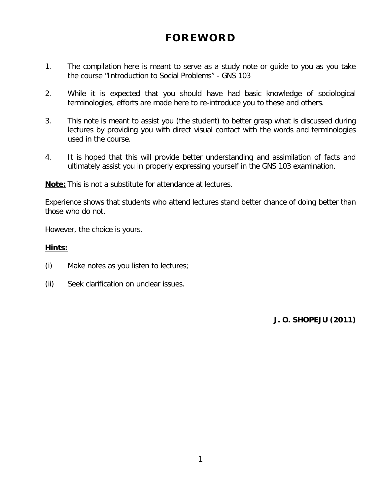# **FOREWORD**

- 1. The compilation here is meant to serve as a study note or guide to you as you take the course "Introduction to Social Problems" - GNS 103
- 2. While it is expected that you should have had basic knowledge of sociological terminologies, efforts are made here to re-introduce you to these and others.
- 3. This note is meant to assist you (the student) to better grasp what is discussed during lectures by providing you with direct visual contact with the words and terminologies used in the course.
- 4. It is hoped that this will provide better understanding and assimilation of facts and ultimately assist you in properly expressing yourself in the GNS 103 examination.

**Note:** This is not a substitute for attendance at lectures.

Experience shows that students who attend lectures stand better chance of doing better than those who do not.

However, the choice is yours.

## **Hints:**

- (i) Make notes as you listen to lectures;
- (ii) Seek clarification on unclear issues.

*J. O. SHOPEJU (2011)*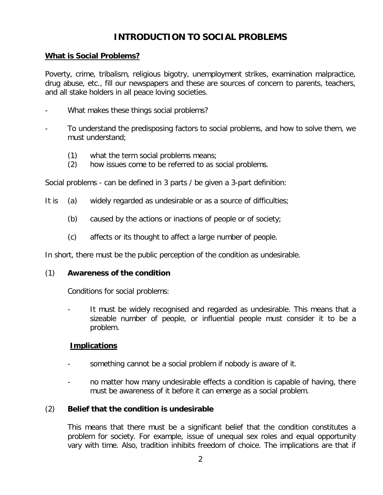## **INTRODUCTION TO SOCIAL PROBLEMS**

## **What is Social Problems?**

Poverty, crime, tribalism, religious bigotry, unemployment strikes, examination malpractice, drug abuse, etc., fill our newspapers and these are sources of concern to parents, teachers, and all stake holders in all peace loving societies.

- What makes these things social problems?
- To understand the predisposing factors to social problems, and how to solve them, we must understand;
	- (1) what the term social problems means;
	- (2) how issues come to be referred to as social problems.

Social problems - can be defined in 3 parts / be given a 3-part definition:

- It is (a) widely regarded as undesirable or as a source of difficulties;
	- (b) caused by the actions or inactions of people or of society;
	- (c) affects or its thought to affect a large number of people.

In short, there must be the public perception of the condition as undesirable.

## (1) **Awareness of the condition**

Conditions for social problems:

It must be widely recognised and regarded as undesirable. This means that a sizeable number of people, or influential people must consider it to be a problem.

## **Implications**

- something cannot be a social problem if nobody is aware of it.
- no matter how many undesirable effects a condition is capable of having, there must be awareness of it before it can emerge as a social problem.

## (2) **Belief that the condition is undesirable**

This means that there must be a significant belief that the condition constitutes a problem for society. For example, issue of unequal sex roles and equal opportunity vary with time. Also, tradition inhibits freedom of choice. The implications are that if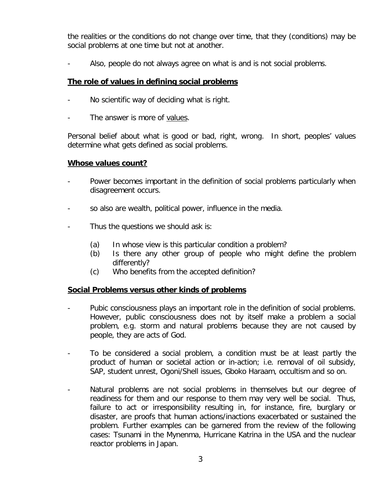the realities or the conditions do not change over time, that they (conditions) may be social problems at one time but not at another.

- Also, people do not always agree on what is and is not social problems.

## **The role of values in defining social problems**

- No scientific way of deciding what is right.
- The answer is more of values.

Personal belief about what is good or bad, right, wrong. In short, peoples' values determine what gets defined as social problems.

## **Whose values count?**

- Power becomes important in the definition of social problems particularly when disagreement occurs.
- so also are wealth, political power, influence in the media.
- Thus the questions we should ask is:
	- (a) In whose view is this particular condition a problem?
	- (b) Is there any other group of people who might define the problem differently?
	- (c) Who benefits from the accepted definition?

## **Social Problems versus other kinds of problems**

- Pubic consciousness plays an important role in the definition of social problems. However, public consciousness does not by itself make a problem a social problem, e.g. storm and natural problems because they are not caused by people, they are acts of God.
- To be considered a social problem, a condition must be at least partly the product of human or societal action or in-action; i.e. removal of oil subsidy, SAP, student unrest, Ogoni/Shell issues, Gboko Haraam, occultism and so on.
- Natural problems are not social problems in themselves but our degree of readiness for them and our response to them may very well be social. Thus, failure to act or irresponsibility resulting in, for instance, fire, burglary or disaster, are proofs that human actions/inactions exacerbated or sustained the problem. Further examples can be garnered from the review of the following cases: Tsunami in the Mynenma, Hurricane Katrina in the USA and the nuclear reactor problems in Japan.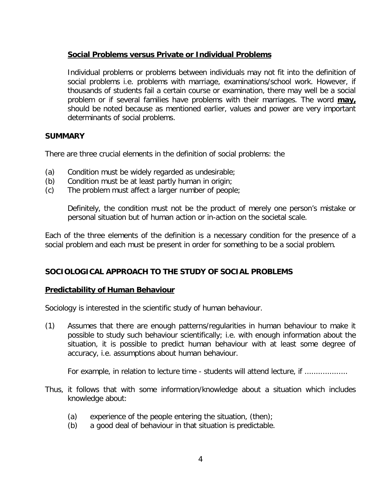## **Social Problems versus Private or Individual Problems**

Individual problems or problems between individuals may not fit into the definition of social problems i.e. problems with marriage, examinations/school work. However, if thousands of students fail a certain course or examination, there may well be a social problem or if several families have problems with their marriages. The word **may,** should be noted because as mentioned earlier, values and power are very important determinants of social problems.

## **SUMMARY**

There are three crucial elements in the definition of social problems: the

- (a) Condition must be widely regarded as undesirable;
- (b) Condition must be at least partly human in origin;
- (c) The problem must affect a larger number of people;

Definitely, the condition must not be the product of merely one person's mistake or personal situation but of human action or in-action on the societal scale.

Each of the three elements of the definition is a necessary condition for the presence of a social problem and each must be present in order for something to be a social problem.

## **SOCIOLOGICAL APPROACH TO THE STUDY OF SOCIAL PROBLEMS**

## **Predictability of Human Behaviour**

Sociology is interested in the scientific study of human behaviour.

(1) Assumes that there are enough patterns/regularities in human behaviour to make it possible to study such behaviour scientifically; i.e. with enough information about the situation, it is possible to predict human behaviour with at least some degree of accuracy, i.e. assumptions about human behaviour.

For example, in relation to lecture time - students will attend lecture, if ..................

- Thus, it follows that with some information/knowledge about a situation which includes knowledge about:
	- (a) experience of the people entering the situation, (then);
	- (b) a good deal of behaviour in that situation is predictable.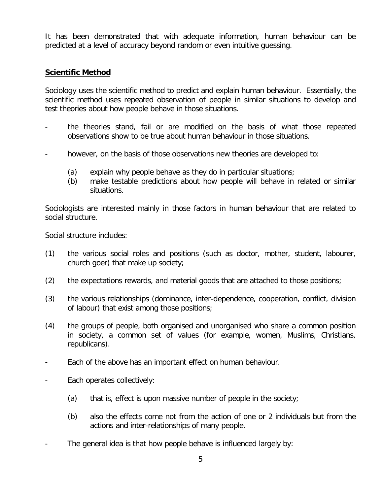It has been demonstrated that with adequate information, human behaviour can be predicted at a level of accuracy beyond random or even intuitive guessing.

## **Scientific Method**

Sociology uses the scientific method to predict and explain human behaviour. Essentially, the scientific method uses repeated observation of people in similar situations to develop and test theories about how people behave in those situations.

- the theories stand, fail or are modified on the basis of what those repeated observations show to be true about human behaviour in those situations.
- however, on the basis of those observations new theories are developed to:
	- (a) explain why people behave as they do in particular situations;
	- (b) make testable predictions about how people will behave in related or similar situations.

Sociologists are interested mainly in those factors in human behaviour that are related to social structure.

Social structure includes:

- (1) the various social roles and positions (such as doctor, mother, student, labourer, church goer) that make up society;
- (2) the expectations rewards, and material goods that are attached to those positions;
- (3) the various relationships (dominance, inter-dependence, cooperation, conflict, division of labour) that exist among those positions;
- (4) the groups of people, both organised and unorganised who share a common position in society, a common set of values (for example, women, Muslims, Christians, republicans).
- Each of the above has an important effect on human behaviour.
- Each operates collectively:
	- (a) that is, effect is upon massive number of people in the society;
	- (b) also the effects come not from the action of one or 2 individuals but from the actions and inter-relationships of many people.
- The general idea is that how people behave is influenced largely by: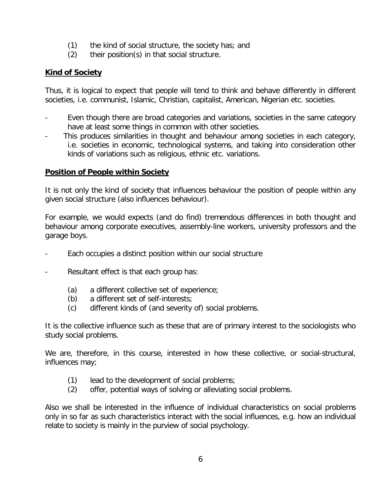- (1) the kind of social structure, the society has; and
- (2) their position(s) in that social structure.

## **Kind of Society**

Thus, it is logical to expect that people will tend to think and behave differently in different societies, i.e. communist, Islamic, Christian, capitalist, American, Nigerian etc. societies.

- Even though there are broad categories and variations, societies in the same category have at least some things in common with other societies.
- This produces similarities in thought and behaviour among societies in each category, i.e. societies in economic, technological systems, and taking into consideration other kinds of variations such as religious, ethnic etc. variations.

## **Position of People within Society**

It is not only the kind of society that influences behaviour the position of people within any given social structure (also influences behaviour).

For example, we would expects (and do find) tremendous differences in both thought and behaviour among corporate executives, assembly-line workers, university professors and the garage boys.

- Each occupies a distinct position within our social structure
- Resultant effect is that each group has:
	- (a) a different collective set of experience;
	- (b) a different set of self-interests;
	- (c) different kinds of (and severity of) social problems.

It is the collective influence such as these that are of primary interest to the sociologists who study social problems.

We are, therefore, in this course, interested in how these collective, or social-structural, influences may;

- (1) lead to the development of social problems;
- (2) offer, potential ways of solving or alleviating social problems.

Also we shall be interested in the influence of individual characteristics on social problems only in so far as such characteristics interact with the social influences, e.g. how an individual relate to society is mainly in the purview of social psychology.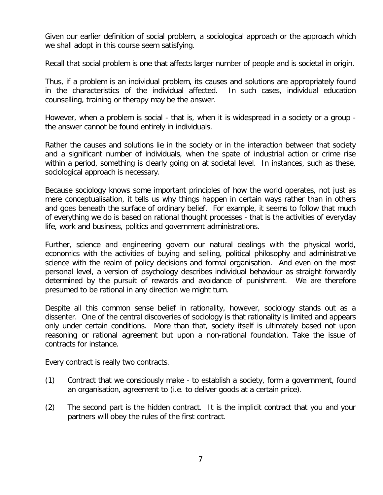Given our earlier definition of social problem, a sociological approach or the approach which we shall adopt in this course seem satisfying.

Recall that social problem is one that affects larger number of people and is societal in origin.

Thus, if a problem is an individual problem, its causes and solutions are appropriately found in the characteristics of the individual affected. In such cases, individual education counselling, training or therapy may be the answer.

However, when a problem is social - that is, when it is widespread in a society or a group the answer cannot be found entirely in individuals.

Rather the causes and solutions lie in the society or in the interaction between that society and a significant number of individuals, when the spate of industrial action or crime rise within a period, something is clearly going on at societal level. In instances, such as these, sociological approach is necessary.

Because sociology knows some important principles of how the world operates, not just as mere conceptualisation, it tells us why things happen in certain ways rather than in others and goes beneath the surface of ordinary belief. For example, it seems to follow that much of everything we do is based on rational thought processes - that is the activities of everyday life, work and business, politics and government administrations.

Further, science and engineering govern our natural dealings with the physical world, economics with the activities of buying and selling, political philosophy and administrative science with the realm of policy decisions and formal organisation. And even on the most personal level, a version of psychology describes individual behaviour as straight forwardly determined by the pursuit of rewards and avoidance of punishment. We are therefore presumed to be rational in any direction we might turn.

Despite all this common sense belief in rationality, however, sociology stands out as a dissenter. One of the central discoveries of sociology is that rationality is limited and appears only under certain conditions. More than that, society itself is ultimately based not upon reasoning or rational agreement but upon a non-rational foundation. Take the issue of contracts for instance.

Every contract is really two contracts.

- (1) Contract that we consciously make to establish a society, form a government, found an organisation, agreement to (i.e. to deliver goods at a certain price).
- (2) The second part is the hidden contract. It is the implicit contract that you and your partners will obey the rules of the first contract.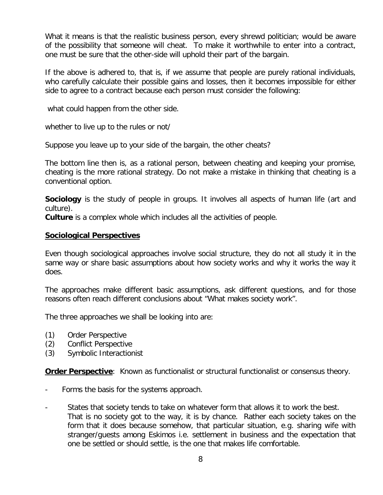What it means is that the realistic business person, every shrewd politician; would be aware of the possibility that someone will cheat. To make it worthwhile to enter into a contract, one must be sure that the other-side will uphold their part of the bargain.

If the above is adhered to, that is, if we assume that people are purely rational individuals, who carefully calculate their possible gains and losses, then it becomes impossible for either side to agree to a contract because each person must consider the following:

what could happen from the other side.

whether to live up to the rules or not/

Suppose you leave up to your side of the bargain, the other cheats?

The bottom line then is, as a rational person, between cheating and keeping your promise, cheating is the more rational strategy. Do not make a mistake in thinking that cheating is a conventional option.

**Sociology** is the study of people in groups. It involves all aspects of human life (art and culture).

**Culture** is a complex whole which includes all the activities of people.

#### **Sociological Perspectives**

Even though sociological approaches involve social structure, they do not all study it in the same way or share basic assumptions about how society works and why it works the way it does.

The approaches make different basic assumptions, ask different questions, and for those reasons often reach different conclusions about "What makes society work".

The three approaches we shall be looking into are:

- (1) Order Perspective
- (2) Conflict Perspective
- (3) Symbolic Interactionist

**Order Perspective:** Known as functionalist or structural functionalist or consensus theory.

- Forms the basis for the systems approach.
- States that society tends to take on whatever form that allows it to work the best. That is no society got to the way, it is by chance. Rather each society takes on the form that it does because somehow, that particular situation, e.g. sharing wife with stranger/guests among Eskimos i.e. settlement in business and the expectation that one be settled or should settle, is the one that makes life comfortable.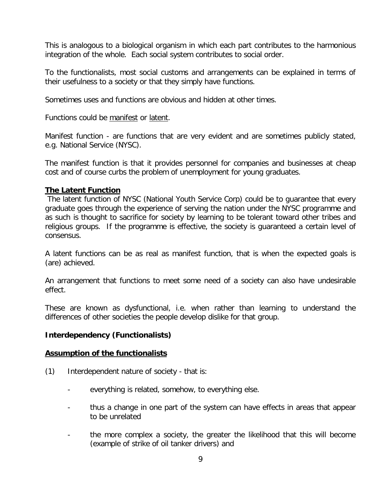This is analogous to a biological organism in which each part contributes to the harmonious integration of the whole. Each social system contributes to social order.

To the functionalists, most social customs and arrangements can be explained in terms of their usefulness to a society or that they simply have functions.

Sometimes uses and functions are obvious and hidden at other times.

Functions could be manifest or latent.

Manifest function - are functions that are very evident and are sometimes publicly stated, e.g. National Service (NYSC).

The manifest function is that it provides personnel for companies and businesses at cheap cost and of course curbs the problem of unemployment for young graduates.

## **The Latent Function**

The latent function of NYSC (National Youth Service Corp) could be to guarantee that every graduate goes through the experience of serving the nation under the NYSC programme and as such is thought to sacrifice for society by learning to be tolerant toward other tribes and religious groups. If the programme is effective, the society is guaranteed a certain level of consensus.

A latent functions can be as real as manifest function, that is when the expected goals is (are) achieved.

An arrangement that functions to meet some need of a society can also have undesirable effect.

These are known as dysfunctional, i.e. when rather than learning to understand the differences of other societies the people develop dislike for that group.

## **Interdependency (Functionalists)**

## **Assumption of the functionalists**

- (1) Interdependent nature of society that is:
	- everything is related, somehow, to everything else.
	- thus a change in one part of the system can have effects in areas that appear to be unrelated
	- the more complex a society, the greater the likelihood that this will become (example of strike of oil tanker drivers) and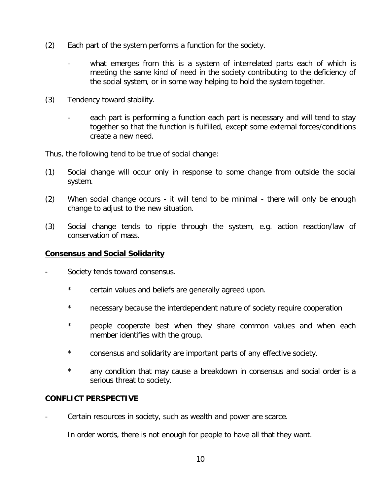- (2) Each part of the system performs a function for the society.
	- what emerges from this is a system of interrelated parts each of which is meeting the same kind of need in the society contributing to the deficiency of the social system, or in some way helping to hold the system together.
- (3) Tendency toward stability.
	- each part is performing a function each part is necessary and will tend to stay together so that the function is fulfilled, except some external forces/conditions create a new need.

Thus, the following tend to be true of social change:

- (1) Social change will occur only in response to some change from outside the social system.
- (2) When social change occurs it will tend to be minimal there will only be enough change to adjust to the new situation.
- (3) Social change tends to ripple through the system, e.g. action reaction/law of conservation of mass.

#### **Consensus and Social Solidarity**

- Society tends toward consensus.
	- \* certain values and beliefs are generally agreed upon.
	- \* necessary because the interdependent nature of society require cooperation
	- \* people cooperate best when they share common values and when each member identifies with the group.
	- \* consensus and solidarity are important parts of any effective society.
	- \* any condition that may cause a breakdown in consensus and social order is a serious threat to society.

## **CONFLICT PERSPECTIVE**

Certain resources in society, such as wealth and power are scarce.

In order words, there is not enough for people to have all that they want.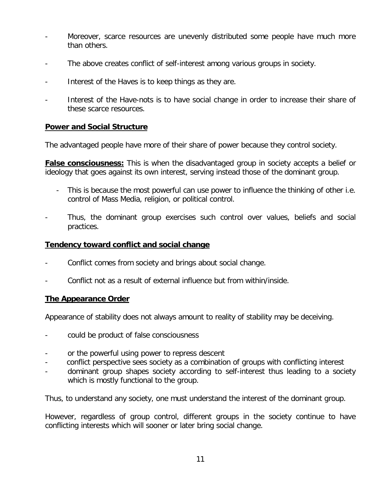- Moreover, scarce resources are unevenly distributed some people have much more than others.
- The above creates conflict of self-interest among various groups in society.
- Interest of the Haves is to keep things as they are.
- Interest of the Have-nots is to have social change in order to increase their share of these scarce resources.

## **Power and Social Structure**

The advantaged people have more of their share of power because they control society.

**False consciousness:** This is when the disadvantaged group in society accepts a belief or ideology that goes against its own interest, serving instead those of the dominant group.

- This is because the most powerful can use power to influence the thinking of other i.e. control of Mass Media, religion, or political control.
- Thus, the dominant group exercises such control over values, beliefs and social practices.

## **Tendency toward conflict and social change**

- Conflict comes from society and brings about social change.
- Conflict not as a result of external influence but from within/inside.

## **The Appearance Order**

Appearance of stability does not always amount to reality of stability may be deceiving.

- could be product of false consciousness
- or the powerful using power to repress descent
- conflict perspective sees society as a combination of groups with conflicting interest
- dominant group shapes society according to self-interest thus leading to a society which is mostly functional to the group.

Thus, to understand any society, one must understand the interest of the dominant group.

However, regardless of group control, different groups in the society continue to have conflicting interests which will sooner or later bring social change.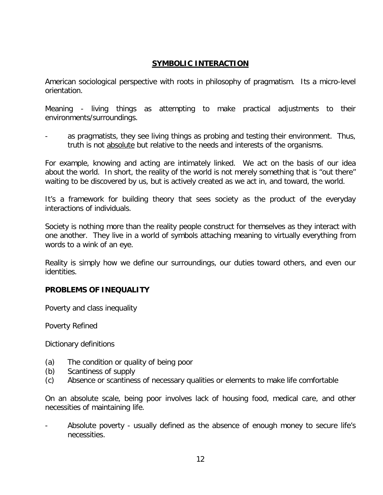## **SYMBOLIC INTERACTION**

American sociological perspective with roots in philosophy of pragmatism. Its a micro-level orientation.

Meaning - living things as attempting to make practical adjustments to their environments/surroundings.

as pragmatists, they see living things as probing and testing their environment. Thus, truth is not absolute but relative to the needs and interests of the organisms.

For example, knowing and acting are intimately linked. We act on the basis of our idea about the world. In short, the reality of the world is not merely something that is "out there" waiting to be discovered by us, but is actively created as we act in, and toward, the world.

It's a framework for building theory that sees society as the product of the everyday interactions of individuals.

Society is nothing more than the reality people construct for themselves as they interact with one another. They live in a world of symbols attaching meaning to virtually everything from words to a wink of an eye.

Reality is simply how we define our surroundings, our duties toward others, and even our identities.

## **PROBLEMS OF INEQUALITY**

Poverty and class inequality

Poverty Refined

Dictionary definitions

- (a) The condition or quality of being poor
- (b) Scantiness of supply
- (c) Absence or scantiness of necessary qualities or elements to make life comfortable

On an absolute scale, being poor involves lack of housing food, medical care, and other necessities of maintaining life.

Absolute poverty - usually defined as the absence of enough money to secure life's necessities.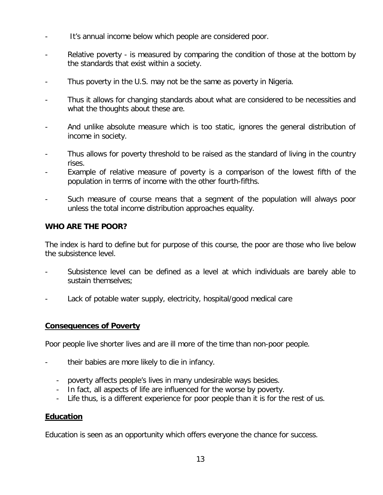- It's annual income below which people are considered poor.
- Relative poverty is measured by comparing the condition of those at the bottom by the standards that exist within a society.
- Thus poverty in the U.S. may not be the same as poverty in Nigeria.
- Thus it allows for changing standards about what are considered to be necessities and what the thoughts about these are.
- And unlike absolute measure which is too static, ignores the general distribution of income in society.
- Thus allows for poverty threshold to be raised as the standard of living in the country rises.
- Example of relative measure of poverty is a comparison of the lowest fifth of the population in terms of income with the other fourth-fifths.
- Such measure of course means that a segment of the population will always poor unless the total income distribution approaches equality.

## **WHO ARE THE POOR?**

The index is hard to define but for purpose of this course, the poor are those who live below the subsistence level.

- Subsistence level can be defined as a level at which individuals are barely able to sustain themselves;
- Lack of potable water supply, electricity, hospital/good medical care

#### **Consequences of Poverty**

Poor people live shorter lives and are ill more of the time than non-poor people.

- their babies are more likely to die in infancy.
	- poverty affects people's lives in many undesirable ways besides.
	- In fact, all aspects of life are influenced for the worse by poverty.
	- Life thus, is a different experience for poor people than it is for the rest of us.

## **Education**

Education is seen as an opportunity which offers everyone the chance for success.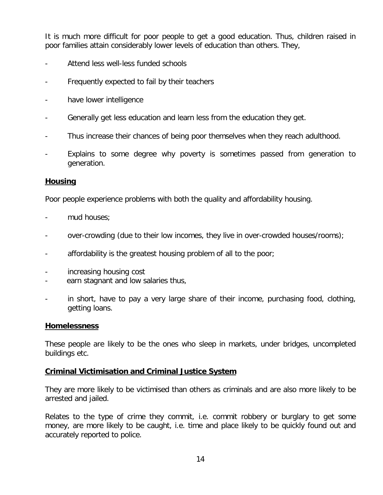It is much more difficult for poor people to get a good education. Thus, children raised in poor families attain considerably lower levels of education than others. They,

- Attend less well-less funded schools
- Frequently expected to fail by their teachers
- have lower intelligence
- Generally get less education and learn less from the education they get.
- Thus increase their chances of being poor themselves when they reach adulthood.
- Explains to some degree why poverty is sometimes passed from generation to generation.

#### **Housing**

Poor people experience problems with both the quality and affordability housing.

- mud houses:
- over-crowding (due to their low incomes, they live in over-crowded houses/rooms);
- affordability is the greatest housing problem of all to the poor;
- increasing housing cost
- earn stagnant and low salaries thus,
- in short, have to pay a very large share of their income, purchasing food, clothing, getting loans.

#### **Homelessness**

These people are likely to be the ones who sleep in markets, under bridges, uncompleted buildings etc.

#### **Criminal Victimisation and Criminal Justice System**

They are more likely to be victimised than others as criminals and are also more likely to be arrested and jailed.

Relates to the type of crime they commit, i.e. commit robbery or burglary to get some money, are more likely to be caught, i.e. time and place likely to be quickly found out and accurately reported to police.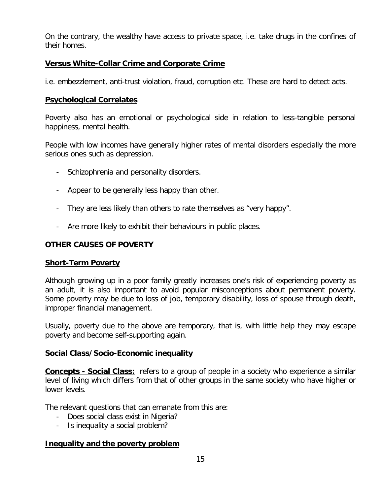On the contrary, the wealthy have access to private space, i.e. take drugs in the confines of their homes.

## **Versus White-Collar Crime and Corporate Crime**

i.e. embezzlement, anti-trust violation, fraud, corruption etc. These are hard to detect acts.

## **Psychological Correlates**

Poverty also has an emotional or psychological side in relation to less-tangible personal happiness, mental health.

People with low incomes have generally higher rates of mental disorders especially the more serious ones such as depression.

- Schizophrenia and personality disorders.
- Appear to be generally less happy than other.
- They are less likely than others to rate themselves as "very happy".
- Are more likely to exhibit their behaviours in public places.

## **OTHER CAUSES OF POVERTY**

## **Short-Term Poverty**

Although growing up in a poor family greatly increases one's risk of experiencing poverty as an adult, it is also important to avoid popular misconceptions about permanent poverty. Some poverty may be due to loss of job, temporary disability, loss of spouse through death, improper financial management.

Usually, poverty due to the above are temporary, that is, with little help they may escape poverty and become self-supporting again.

## **Social Class/Socio-Economic inequality**

**Concepts - Social Class:** refers to a group of people in a society who experience a similar level of living which differs from that of other groups in the same society who have higher or lower levels.

The relevant questions that can emanate from this are:

- Does social class exist in Nigeria?
- Is inequality a social problem?

## **Inequality and the poverty problem**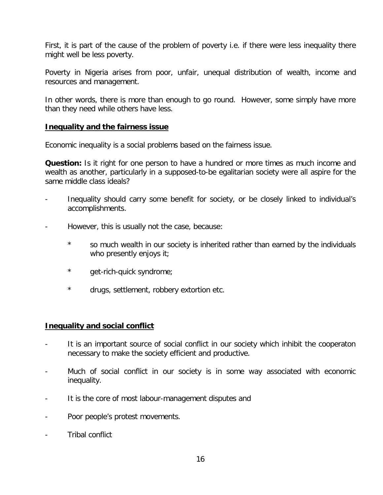First, it is part of the cause of the problem of poverty i.e. if there were less inequality there might well be less poverty.

Poverty in Nigeria arises from poor, unfair, unequal distribution of wealth, income and resources and management.

In other words, there is more than enough to go round. However, some simply have more than they need while others have less.

## **Inequality and the fairness issue**

Economic inequality is a social problems based on the fairness issue.

**Question:** Is it right for one person to have a hundred or more times as much income and wealth as another, particularly in a supposed-to-be egalitarian society were all aspire for the same middle class ideals?

- Inequality should carry some benefit for society, or be closely linked to individual's accomplishments.
- However, this is usually not the case, because:
	- \* so much wealth in our society is inherited rather than earned by the individuals who presently enjoys it;
	- \* get-rich-quick syndrome;
	- \* drugs, settlement, robbery extortion etc.

## **Inequality and social conflict**

- It is an important source of social conflict in our society which inhibit the cooperaton necessary to make the society efficient and productive.
- Much of social conflict in our society is in some way associated with economic inequality.
- It is the core of most labour-management disputes and
- Poor people's protest movements.
- Tribal conflict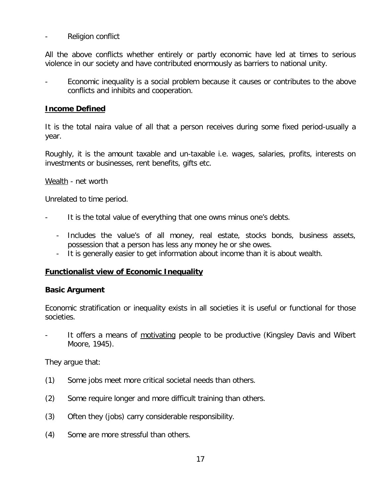- Religion conflict

All the above conflicts whether entirely or partly economic have led at times to serious violence in our society and have contributed enormously as barriers to national unity.

Economic inequality is a social problem because it causes or contributes to the above conflicts and inhibits and cooperation.

## **Income Defined**

It is the total naira value of all that a person receives during some fixed period-usually a year.

Roughly, it is the amount taxable and un-taxable i.e. wages, salaries, profits, interests on investments or businesses, rent benefits, gifts etc.

Wealth - net worth

Unrelated to time period.

- It is the total value of everything that one owns minus one's debts.
	- Includes the value's of all money, real estate, stocks bonds, business assets, possession that a person has less any money he or she owes.
	- It is generally easier to get information about income than it is about wealth.

#### **Functionalist view of Economic Inequality**

#### **Basic Argument**

Economic stratification or inequality exists in all societies it is useful or functional for those societies.

It offers a means of motivating people to be productive (Kingsley Davis and Wibert Moore, 1945).

They argue that:

- (1) Some jobs meet more critical societal needs than others.
- (2) Some require longer and more difficult training than others.
- (3) Often they (jobs) carry considerable responsibility.
- (4) Some are more stressful than others.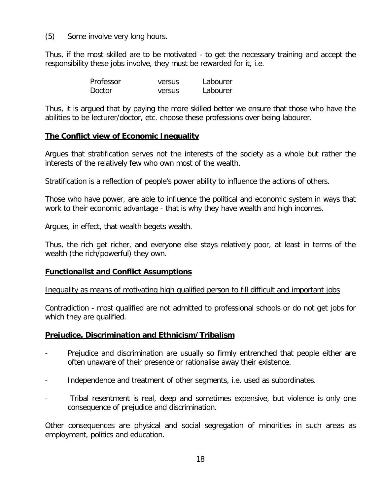(5) Some involve very long hours.

Thus, if the most skilled are to be motivated - to get the necessary training and accept the responsibility these jobs involve, they must be rewarded for it, i.e.

| Professor     | versus | Labourer |
|---------------|--------|----------|
| <b>Doctor</b> | versus | Labourer |

Thus, it is argued that by paying the more skilled better we ensure that those who have the abilities to be lecturer/doctor, etc. choose these professions over being labourer.

## **The Conflict view of Economic Inequality**

Argues that stratification serves not the interests of the society as a whole but rather the interests of the relatively few who own most of the wealth.

Stratification is a reflection of people's power ability to influence the actions of others.

Those who have power, are able to influence the political and economic system in ways that work to their economic advantage - that is why they have wealth and high incomes.

Argues, in effect, that wealth begets wealth.

Thus, the rich get richer, and everyone else stays relatively poor, at least in terms of the wealth (the rich/powerful) they own.

#### **Functionalist and Conflict Assumptions**

Inequality as means of motivating high qualified person to fill difficult and important jobs

Contradiction - most qualified are not admitted to professional schools or do not get jobs for which they are qualified.

## **Prejudice, Discrimination and Ethnicism/Tribalism**

- Prejudice and discrimination are usually so firmly entrenched that people either are often unaware of their presence or rationalise away their existence.
- Independence and treatment of other segments, i.e. used as subordinates.
- Tribal resentment is real, deep and sometimes expensive, but violence is only one consequence of prejudice and discrimination.

Other consequences are physical and social segregation of minorities in such areas as employment, politics and education.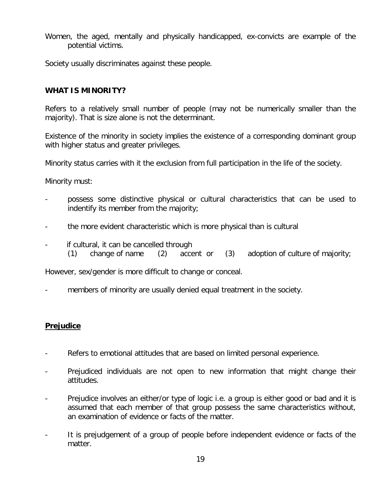Women, the aged, mentally and physically handicapped, ex-convicts are example of the potential victims.

Society usually discriminates against these people.

## **WHAT IS MINORITY?**

Refers to a relatively small number of people (may not be numerically smaller than the majority). That is size alone is not the determinant.

Existence of the minority in society implies the existence of a corresponding dominant group with higher status and greater privileges.

Minority status carries with it the exclusion from full participation in the life of the society.

Minority must:

- possess some distinctive physical or cultural characteristics that can be used to indentify its member from the majority;
- the more evident characteristic which is more physical than is cultural
- if cultural, it can be cancelled through
	- (1) change of name (2) accent or (3) adoption of culture of majority;

However, sex/gender is more difficult to change or conceal.

members of minority are usually denied equal treatment in the society.

## **Prejudice**

- Refers to emotional attitudes that are based on limited personal experience.
- Prejudiced individuals are not open to new information that might change their attitudes.
- Prejudice involves an either/or type of logic i.e. a group is either good or bad and it is assumed that each member of that group possess the same characteristics without, an examination of evidence or facts of the matter.
- It is prejudgement of a group of people before independent evidence or facts of the matter.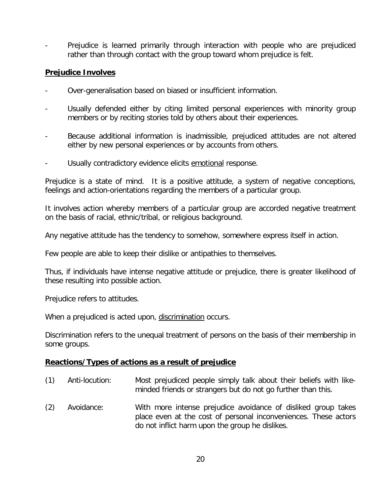- Prejudice is learned primarily through interaction with people who are prejudiced rather than through contact with the group toward whom prejudice is felt.

## **Prejudice Involves**

- Over-generalisation based on biased or insufficient information.
- Usually defended either by citing limited personal experiences with minority group members or by reciting stories told by others about their experiences.
- Because additional information is inadmissible, prejudiced attitudes are not altered either by new personal experiences or by accounts from others.
- Usually contradictory evidence elicits emotional response.

Prejudice is a state of mind. It is a positive attitude, a system of negative conceptions, feelings and action-orientations regarding the members of a particular group.

It involves action whereby members of a particular group are accorded negative treatment on the basis of racial, ethnic/tribal, or religious background.

Any negative attitude has the tendency to somehow, somewhere express itself in action.

Few people are able to keep their dislike or antipathies to themselves.

Thus, if individuals have intense negative attitude or prejudice, there is greater likelihood of these resulting into possible action.

Prejudice refers to attitudes.

When a prejudiced is acted upon, discrimination occurs.

Discrimination refers to the unequal treatment of persons on the basis of their membership in some groups.

## **Reactions/Types of actions as a result of prejudice**

- (1) Anti-locution: Most prejudiced people simply talk about their beliefs with likeminded friends or strangers but do not go further than this.
- (2) Avoidance: With more intense prejudice avoidance of disliked group takes place even at the cost of personal inconveniences. These actors do not inflict harm upon the group he dislikes.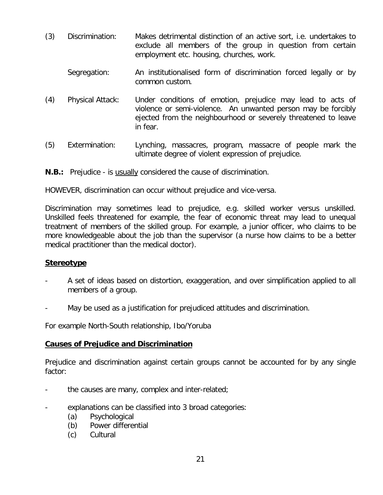- (3) Discrimination: Makes detrimental distinction of an active sort, i.e. undertakes to exclude all members of the group in question from certain employment etc. housing, churches, work.
	- Segregation: An institutionalised form of discrimination forced legally or by common custom.
- (4) Physical Attack: Under conditions of emotion, prejudice may lead to acts of violence or semi-violence. An unwanted person may be forcibly ejected from the neighbourhood or severely threatened to leave in fear.
- (5) Extermination: Lynching, massacres, program, massacre of people mark the ultimate degree of violent expression of prejudice.
- **N.B.:** Prejudice is usually considered the cause of discrimination.

HOWEVER, discrimination can occur without prejudice and vice-versa.

Discrimination may sometimes lead to prejudice, e.g. skilled worker versus unskilled. Unskilled feels threatened for example, the fear of economic threat may lead to unequal treatment of members of the skilled group. For example, a junior officer, who claims to be more knowledgeable about the job than the supervisor (a nurse how claims to be a better medical practitioner than the medical doctor).

## **Stereotype**

- A set of ideas based on distortion, exaggeration, and over simplification applied to all members of a group.
- May be used as a justification for prejudiced attitudes and discrimination.

For example North-South relationship, Ibo/Yoruba

## **Causes of Prejudice and Discrimination**

Prejudice and discrimination against certain groups cannot be accounted for by any single factor:

- the causes are many, complex and inter-related;
- explanations can be classified into 3 broad categories:
	- (a) Psychological
	- (b) Power differential
	- (c) Cultural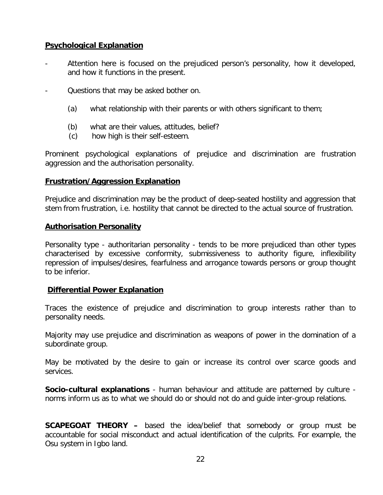## **Psychological Explanation**

- Attention here is focused on the prejudiced person's personality, how it developed, and how it functions in the present.
- Questions that may be asked bother on.
	- (a) what relationship with their parents or with others significant to them;
	- (b) what are their values, attitudes, belief?
	- (c) how high is their self-esteem.

Prominent psychological explanations of prejudice and discrimination are frustration aggression and the authorisation personality.

## **Frustration/Aggression Explanation**

Prejudice and discrimination may be the product of deep-seated hostility and aggression that stem from frustration, i.e. hostility that cannot be directed to the actual source of frustration.

## **Authorisation Personality**

Personality type - authoritarian personality - tends to be more prejudiced than other types characterised by excessive conformity, submissiveness to authority figure, inflexibility repression of impulses/desires, fearfulness and arrogance towards persons or group thought to be inferior.

## **Differential Power Explanation**

Traces the existence of prejudice and discrimination to group interests rather than to personality needs.

Majority may use prejudice and discrimination as weapons of power in the domination of a subordinate group.

May be motivated by the desire to gain or increase its control over scarce goods and services.

**Socio-cultural explanations** - human behaviour and attitude are patterned by culture norms inform us as to what we should do or should not do and guide inter-group relations.

**SCAPEGOAT THEORY –** based the idea/belief that somebody or group must be accountable for social misconduct and actual identification of the culprits. For example, the Osu system in Igbo land.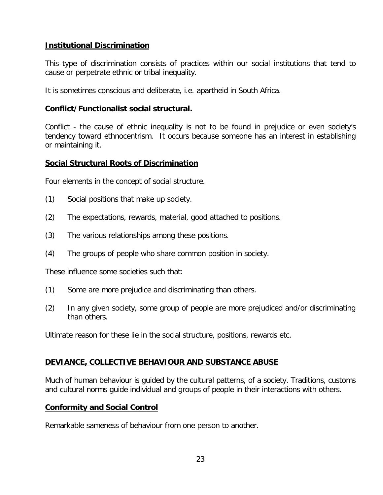## **Institutional Discrimination**

This type of discrimination consists of practices within our social institutions that tend to cause or perpetrate ethnic or tribal inequality.

It is sometimes conscious and deliberate, i.e. apartheid in South Africa.

## **Conflict/Functionalist social structural.**

Conflict - the cause of ethnic inequality is not to be found in prejudice or even society's tendency toward ethnocentrism. It occurs because someone has an interest in establishing or maintaining it.

## **Social Structural Roots of Discrimination**

Four elements in the concept of social structure.

- (1) Social positions that make up society.
- (2) The expectations, rewards, material, good attached to positions.
- (3) The various relationships among these positions.
- (4) The groups of people who share common position in society.

These influence some societies such that:

- (1) Some are more prejudice and discriminating than others.
- (2) In any given society, some group of people are more prejudiced and/or discriminating than others.

Ultimate reason for these lie in the social structure, positions, rewards etc.

## **DEVIANCE, COLLECTIVE BEHAVIOUR AND SUBSTANCE ABUSE**

Much of human behaviour is guided by the cultural patterns, of a society. Traditions, customs and cultural norms guide individual and groups of people in their interactions with others.

#### **Conformity and Social Control**

Remarkable sameness of behaviour from one person to another.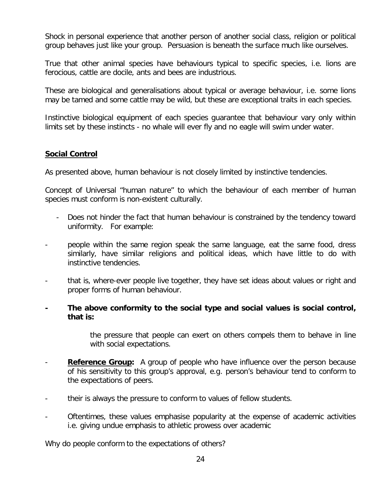Shock in personal experience that another person of another social class, religion or political group behaves just like your group. Persuasion is beneath the surface much like ourselves.

True that other animal species have behaviours typical to specific species, i.e. lions are ferocious, cattle are docile, ants and bees are industrious.

These are biological and generalisations about typical or average behaviour, i.e. some lions may be tamed and some cattle may be wild, but these are exceptional traits in each species.

Instinctive biological equipment of each species guarantee that behaviour vary only within limits set by these instincts - no whale will ever fly and no eagle will swim under water.

## **Social Control**

As presented above, human behaviour is not closely limited by instinctive tendencies.

Concept of Universal "human nature" to which the behaviour of each member of human species must conform is non-existent culturally.

- Does not hinder the fact that human behaviour is constrained by the tendency toward uniformity. For example:
- people within the same region speak the same language, eat the same food, dress similarly, have similar religions and political ideas, which have little to do with instinctive tendencies.
- that is, where-ever people live together, they have set ideas about values or right and proper forms of human behaviour.
- **- The above conformity to the social type and social values is social control, that is:**

the pressure that people can exert on others compels them to behave in line with social expectations.

- **Reference Group:** A group of people who have influence over the person because of his sensitivity to this group's approval, e.g. person's behaviour tend to conform to the expectations of peers.
- their is always the pressure to conform to values of fellow students.
- Oftentimes, these values emphasise popularity at the expense of academic activities i.e. giving undue emphasis to athletic prowess over academic

Why do people conform to the expectations of others?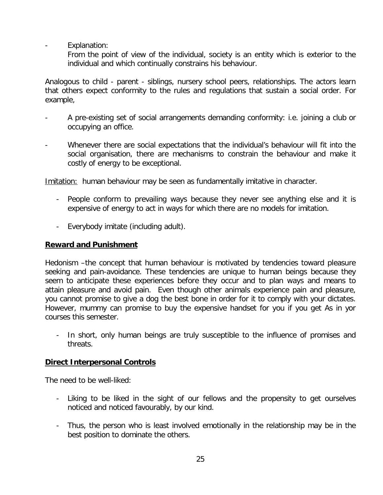Explanation:

From the point of view of the individual, society is an entity which is exterior to the individual and which continually constrains his behaviour.

Analogous to child - parent - siblings, nursery school peers, relationships. The actors learn that others expect conformity to the rules and regulations that sustain a social order. For example,

- A pre-existing set of social arrangements demanding conformity: i.e. joining a club or occupying an office.
- Whenever there are social expectations that the individual's behaviour will fit into the social organisation, there are mechanisms to constrain the behaviour and make it costly of energy to be exceptional.

Imitation: human behaviour may be seen as fundamentally imitative in character.

- People conform to prevailing ways because they never see anything else and it is expensive of energy to act in ways for which there are no models for imitation.
- Everybody imitate (including adult).

## **Reward and Punishment**

Hedonism –the concept that human behaviour is motivated by tendencies toward pleasure seeking and pain-avoidance. These tendencies are unique to human beings because they seem to anticipate these experiences before they occur and to plan ways and means to attain pleasure and avoid pain. Even though other animals experience pain and pleasure, you cannot promise to give a dog the best bone in order for it to comply with your dictates. However, mummy can promise to buy the expensive handset for you if you get As in yor courses this semester.

- In short, only human beings are truly susceptible to the influence of promises and threats.

## **Direct Interpersonal Controls**

The need to be well-liked:

- Liking to be liked in the sight of our fellows and the propensity to get ourselves noticed and noticed favourably, by our kind.
- Thus, the person who is least involved emotionally in the relationship may be in the best position to dominate the others.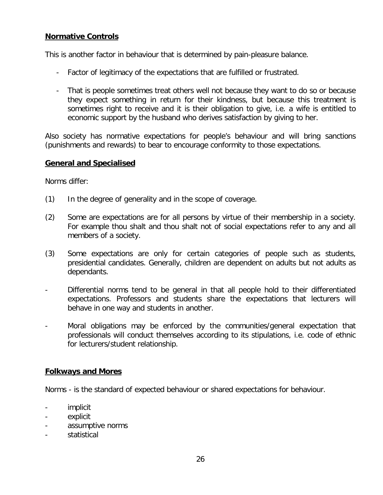## **Normative Controls**

This is another factor in behaviour that is determined by pain-pleasure balance.

- Factor of legitimacy of the expectations that are fulfilled or frustrated.
- That is people sometimes treat others well not because they want to do so or because they expect something in return for their kindness, but because this treatment is sometimes right to receive and it is their obligation to give, i.e. a wife is entitled to economic support by the husband who derives satisfaction by giving to her.

Also society has normative expectations for people's behaviour and will bring sanctions (punishments and rewards) to bear to encourage conformity to those expectations.

## **General and Specialised**

Norms differ:

- (1) In the degree of generality and in the scope of coverage.
- (2) Some are expectations are for all persons by virtue of their membership in a society. For example thou shalt and thou shalt not of social expectations refer to any and all members of a society.
- (3) Some expectations are only for certain categories of people such as students, presidential candidates. Generally, children are dependent on adults but not adults as dependants.
- Differential norms tend to be general in that all people hold to their differentiated expectations. Professors and students share the expectations that lecturers will behave in one way and students in another.
- Moral obligations may be enforced by the communities/general expectation that professionals will conduct themselves according to its stipulations, i.e. code of ethnic for lecturers/student relationship.

## **Folkways and Mores**

Norms - is the standard of expected behaviour or shared expectations for behaviour.

- implicit
- explicit
- assumptive norms
- statistical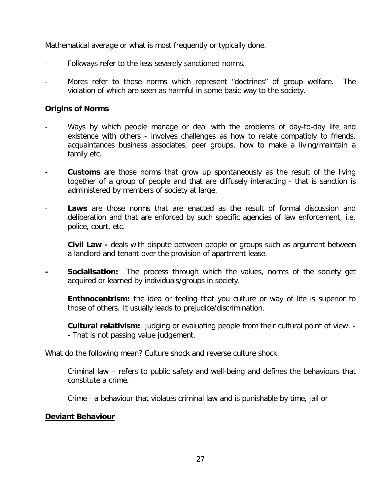Mathematical average or what is most frequently or typically done.

- Folkways refer to the less severely sanctioned norms.
- Mores refer to those norms which represent "doctrines" of group welfare. The violation of which are seen as harmful in some basic way to the society.

## **Origins of Norms**

- Ways by which people manage or deal with the problems of day-to-day life and existence with others - involves challenges as how to relate compatibly to friends, acquaintances business associates, peer groups, how to make a living/maintain a family etc.
- **Customs** are those norms that grow up spontaneously as the result of the living together of a group of people and that are diffusely interacting - that is sanction is administered by members of society at large.
- **Laws** are those norms that are enacted as the result of formal discussion and deliberation and that are enforced by such specific agencies of law enforcement, i.e. police, court, etc.
	- **Civil Law -** deals with dispute between people or groups such as argument between a landlord and tenant over the provision of apartment lease.
- **- Socialisation:** The process through which the values, norms of the society get acquired or learned by individuals/groups in society.
	- **Enthnocentrism:** the idea or feeling that you culture or way of life is superior to those of others. It usually leads to prejudice/discrimination.

**Cultural relativism:** judging or evaluating people from their cultural point of view. - - That is not passing value judgement.

What do the following mean? Culture shock and reverse culture shock.

Criminal law – refers to public safety and well-being and defines the behaviours that constitute a crime.

Crime - a behaviour that violates criminal law and is punishable by time, jail or

## **Deviant Behaviour**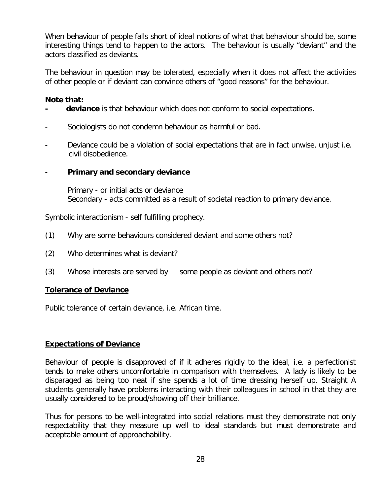When behaviour of people falls short of ideal notions of what that behaviour should be, some interesting things tend to happen to the actors. The behaviour is usually "deviant" and the actors classified as deviants.

The behaviour in question may be tolerated, especially when it does not affect the activities of other people or if deviant can convince others of "good reasons" for the behaviour.

## **Note that:**

- deviance is that behaviour which does not conform to social expectations.
- Sociologists do not condemn behaviour as harmful or bad.
- Deviance could be a violation of social expectations that are in fact unwise, unjust i.e. civil disobedience.
- **Primary and secondary deviance**

Primary - or initial acts or deviance Secondary - acts committed as a result of societal reaction to primary deviance.

Symbolic interactionism - self fulfilling prophecy.

- (1) Why are some behaviours considered deviant and some others not?
- (2) Who determines what is deviant?
- (3) Whose interests are served by some people as deviant and others not?

#### **Tolerance of Deviance**

Public tolerance of certain deviance, i.e. African time.

## **Expectations of Deviance**

Behaviour of people is disapproved of if it adheres rigidly to the ideal, i.e. a perfectionist tends to make others uncomfortable in comparison with themselves. A lady is likely to be disparaged as being too neat if she spends a lot of time dressing herself up. Straight A students generally have problems interacting with their colleagues in school in that they are usually considered to be proud/showing off their brilliance.

Thus for persons to be well-integrated into social relations must they demonstrate not only respectability that they measure up well to ideal standards but must demonstrate and acceptable amount of approachability.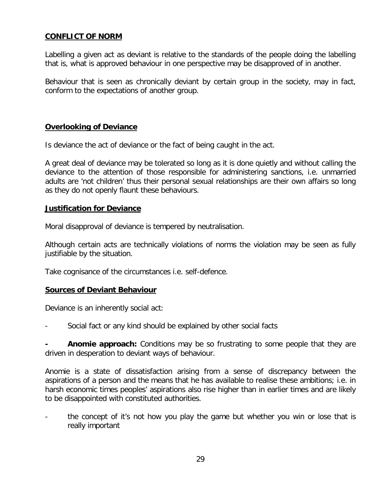## **CONFLICT OF NORM**

Labelling a given act as deviant is relative to the standards of the people doing the labelling that is, what is approved behaviour in one perspective may be disapproved of in another.

Behaviour that is seen as chronically deviant by certain group in the society, may in fact, conform to the expectations of another group.

## **Overlooking of Deviance**

Is deviance the act of deviance or the fact of being caught in the act.

A great deal of deviance may be tolerated so long as it is done quietly and without calling the deviance to the attention of those responsible for administering sanctions, i.e. unmarried adults are 'not children' thus their personal sexual relationships are their own affairs so long as they do not openly flaunt these behaviours.

#### **Justification for Deviance**

Moral disapproval of deviance is tempered by neutralisation.

Although certain acts are technically violations of norms the violation may be seen as fully justifiable by the situation.

Take cognisance of the circumstances i.e. self-defence.

## **Sources of Deviant Behaviour**

Deviance is an inherently social act:

Social fact or any kind should be explained by other social facts

**- Anomie approach:** Conditions may be so frustrating to some people that they are driven in desperation to deviant ways of behaviour.

Anomie is a state of dissatisfaction arising from a sense of discrepancy between the aspirations of a person and the means that he has available to realise these ambitions; i.e. in harsh economic times peoples' aspirations also rise higher than in earlier times and are likely to be disappointed with constituted authorities.

the concept of it's not how you play the game but whether you win or lose that is really important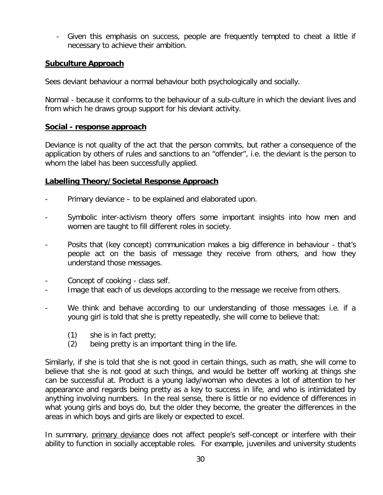- Given this emphasis on success, people are frequently tempted to cheat a little if necessary to achieve their ambition.

## **Subculture Approach**

Sees deviant behaviour a normal behaviour both psychologically and socially.

Normal - because it conforms to the behaviour of a sub-culture in which the deviant lives and from which he draws group support for his deviant activity.

## **Social - response approach**

Deviance is not quality of the act that the person commits, but rather a consequence of the application by others of rules and sanctions to an "offender", i.e. the deviant is the person to whom the label has been successfully applied.

## **Labelling Theory/Societal Response Approach**

- Primary deviance to be explained and elaborated upon.
- Symbolic inter-activism theory offers some important insights into how men and women are taught to fill different roles in society.
- Posits that (key concept) communication makes a big difference in behaviour that's people act on the basis of message they receive from others, and how they understand those messages.
- Concept of cooking class self.
- Image that each of us develops according to the message we receive from others.
- We think and behave according to our understanding of those messages i.e. if a young girl is told that she is pretty repeatedly, she will come to believe that:
	- (1) she is in fact pretty;
	- (2) being pretty is an important thing in the life.

Similarly, if she is told that she is not good in certain things, such as math, she will come to believe that she is not good at such things, and would be better off working at things she can be successful at. Product is a young lady/woman who devotes a lot of attention to her appearance and regards being pretty as a key to success in life, and who is intimidated by anything involving numbers. In the real sense, there is little or no evidence of differences in what young girls and boys do, but the older they become, the greater the differences in the areas in which boys and girls are likely or expected to excel.

In summary, primary deviance does not affect people's self-concept or interfere with their ability to function in socially acceptable roles. For example, juveniles and university students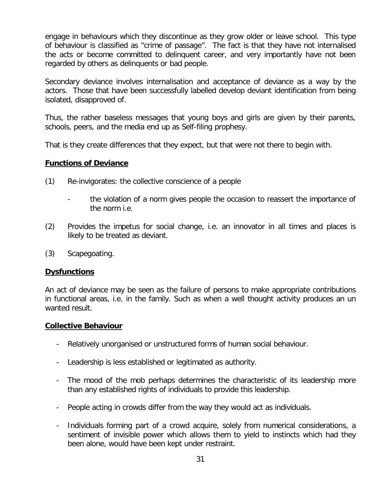engage in behaviours which they discontinue as they grow older or leave school. This type of behaviour is classified as "crime of passage". The fact is that they have not internalised the acts or become committed to delinquent career, and very importantly have not been regarded by others as delinquents or bad people.

Secondary deviance involves internalisation and acceptance of deviance as a way by the actors. Those that have been successfully labelled develop deviant identification from being isolated, disapproved of.

Thus, the rather baseless messages that young boys and girls are given by their parents, schools, peers, and the media end up as Self-filing prophesy.

That is they create differences that they expect, but that were not there to begin with.

## **Functions of Deviance**

- (1) Re-invigorates: the collective conscience of a people
	- the violation of a norm gives people the occasion to reassert the importance of the norm i.e.
- (2) Provides the impetus for social change, i.e. an innovator in all times and places is likely to be treated as deviant.
- (3) Scapegoating.

## **Dysfunctions**

An act of deviance may be seen as the failure of persons to make appropriate contributions in functional areas, i.e. in the family. Such as when a well thought activity produces an un wanted result.

#### **Collective Behaviour**

- Relatively unorganised or unstructured forms of human social behaviour.
- Leadership is less established or legitimated as authority.
- The mood of the mob perhaps determines the characteristic of its leadership more than any established rights of individuals to provide this leadership.
- People acting in crowds differ from the way they would act as individuals.
- Individuals forming part of a crowd acquire, solely from numerical considerations, a sentiment of invisible power which allows them to yield to instincts which had they been alone, would have been kept under restraint.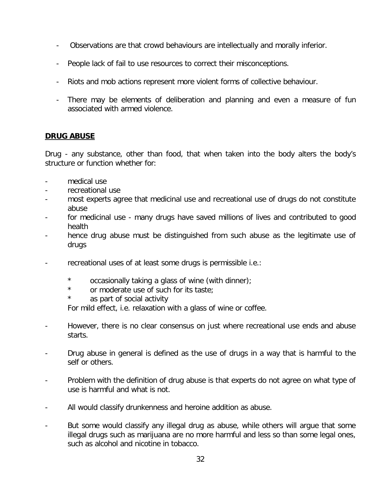- Observations are that crowd behaviours are intellectually and morally inferior.
- People lack of fail to use resources to correct their misconceptions.
- Riots and mob actions represent more violent forms of collective behaviour.
- There may be elements of deliberation and planning and even a measure of fun associated with armed violence.

## **DRUG ABUSE**

Drug - any substance, other than food, that when taken into the body alters the body's structure or function whether for:

- medical use
- recreational use
- most experts agree that medicinal use and recreational use of drugs do not constitute abuse
- for medicinal use many drugs have saved millions of lives and contributed to good health
- hence drug abuse must be distinguished from such abuse as the legitimate use of drugs
- recreational uses of at least some drugs is permissible i.e.:
	- \* occasionally taking a glass of wine (with dinner);
	- \* or moderate use of such for its taste;
	- \* as part of social activity

For mild effect, i.e. relaxation with a glass of wine or coffee.

- However, there is no clear consensus on just where recreational use ends and abuse starts.
- Drug abuse in general is defined as the use of drugs in a way that is harmful to the self or others.
- Problem with the definition of drug abuse is that experts do not agree on what type of use is harmful and what is not.
- All would classify drunkenness and heroine addition as abuse.
- But some would classify any illegal drug as abuse, while others will argue that some illegal drugs such as marijuana are no more harmful and less so than some legal ones, such as alcohol and nicotine in tobacco.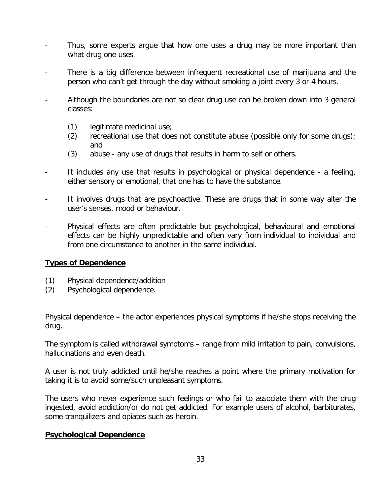- Thus, some experts argue that how one uses a drug may be more important than what drug one uses.
- There is a big difference between infrequent recreational use of marijuana and the person who can't get through the day without smoking a joint every 3 or 4 hours.
- Although the boundaries are not so clear drug use can be broken down into 3 general classes:
	- (1) legitimate medicinal use;
	- (2) recreational use that does not constitute abuse (possible only for some drugs); and
	- (3) abuse any use of drugs that results in harm to self or others.
- It includes any use that results in psychological or physical dependence a feeling, either sensory or emotional, that one has to have the substance.
- It involves drugs that are psychoactive. These are drugs that in some way alter the user's senses, mood or behaviour.
- Physical effects are often predictable but psychological, behavioural and emotional effects can be highly unpredictable and often vary from individual to individual and from one circumstance to another in the same individual.

## **Types of Dependence**

- (1) Physical dependence/addition
- (2) Psychological dependence.

Physical dependence – the actor experiences physical symptoms if he/she stops receiving the drug.

The symptom is called withdrawal symptoms – range from mild irritation to pain, convulsions, hallucinations and even death.

A user is not truly addicted until he/she reaches a point where the primary motivation for taking it is to avoid some/such unpleasant symptoms.

The users who never experience such feelings or who fail to associate them with the drug ingested, avoid addiction/or do not get addicted. For example users of alcohol, barbiturates, some tranquilizers and opiates such as heroin.

## **Psychological Dependence**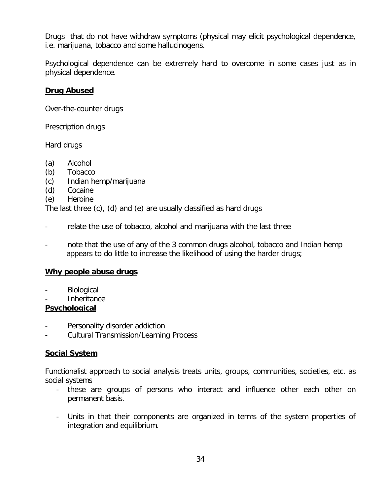Drugs that do not have withdraw symptoms (physical may elicit psychological dependence, i.e. marijuana, tobacco and some hallucinogens.

Psychological dependence can be extremely hard to overcome in some cases just as in physical dependence.

## **Drug Abused**

Over-the-counter drugs

Prescription drugs

Hard drugs

- (a) Alcohol
- (b) Tobacco
- (c) Indian hemp/marijuana
- (d) Cocaine
- (e) Heroine

The last three (c), (d) and (e) are usually classified as hard drugs

- relate the use of tobacco, alcohol and marijuana with the last three
- note that the use of any of the 3 common drugs alcohol, tobacco and Indian hemp appears to do little to increase the likelihood of using the harder drugs;

## **Why people abuse drugs**

- **Biological**
- **Inheritance**

## **Psychological**

- Personality disorder addiction
- Cultural Transmission/Learning Process

## **Social System**

Functionalist approach to social analysis treats units, groups, communities, societies, etc. as social systems

- these are groups of persons who interact and influence other each other on permanent basis.
- Units in that their components are organized in terms of the system properties of integration and equilibrium.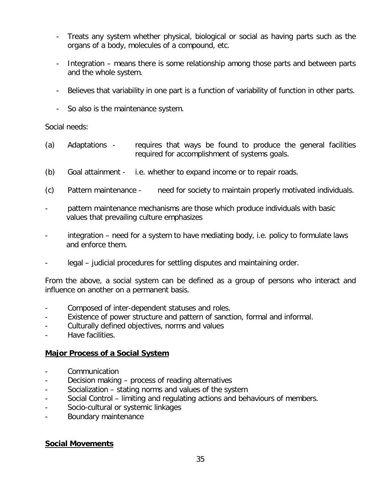- Treats any system whether physical, biological or social as having parts such as the organs of a body, molecules of a compound, etc.
- Integration means there is some relationship among those parts and between parts and the whole system.
- Believes that variability in one part is a function of variability of function in other parts.
- So also is the maintenance system.

## Social needs:

- (a) Adaptations requires that ways be found to produce the general facilities required for accomplishment of systems goals.
- (b) Goal attainment i.e. whether to expand income or to repair roads.
- (c) Pattern maintenance need for society to maintain properly motivated individuals.
- pattern maintenance mechanisms are those which produce individuals with basic values that prevailing culture emphasizes
- integration need for a system to have mediating body, i.e. policy to formulate laws and enforce them.
- legal judicial procedures for settling disputes and maintaining order.

From the above, a social system can be defined as a group of persons who interact and influence on another on a permanent basis.

- Composed of inter-dependent statuses and roles.
- Existence of power structure and pattern of sanction, formal and informal.
- Culturally defined objectives, norms and values
- Have facilities.

## **Major Process of a Social System**

- Communication
- Decision making process of reading alternatives
- Socialization stating norms and values of the system
- Social Control limiting and regulating actions and behaviours of members.
- Socio-cultural or systemic linkages
- Boundary maintenance

## **Social Movements**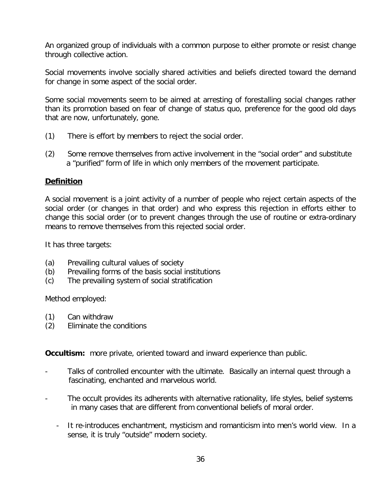An organized group of individuals with a common purpose to either promote or resist change through collective action.

Social movements involve socially shared activities and beliefs directed toward the demand for change in some aspect of the social order.

Some social movements seem to be aimed at arresting of forestalling social changes rather than its promotion based on fear of change of status quo, preference for the good old days that are now, unfortunately, gone.

- (1) There is effort by members to reject the social order.
- (2) Some remove themselves from active involvement in the "social order" and substitute a "purified" form of life in which only members of the movement participate.

## **Definition**

A social movement is a joint activity of a number of people who reject certain aspects of the social order (or changes in that order) and who express this rejection in efforts either to change this social order (or to prevent changes through the use of routine or extra-ordinary means to remove themselves from this rejected social order.

It has three targets:

- (a) Prevailing cultural values of society
- (b) Prevailing forms of the basis social institutions
- (c) The prevailing system of social stratification

Method employed:

- (1) Can withdraw
- (2) Eliminate the conditions

**Occultism:** more private, oriented toward and inward experience than public.

- Talks of controlled encounter with the ultimate. Basically an internal quest through a fascinating, enchanted and marvelous world.
- The occult provides its adherents with alternative rationality, life styles, belief systems in many cases that are different from conventional beliefs of moral order.
	- It re-introduces enchantment, mysticism and romanticism into men's world view. In a sense, it is truly "outside" modern society.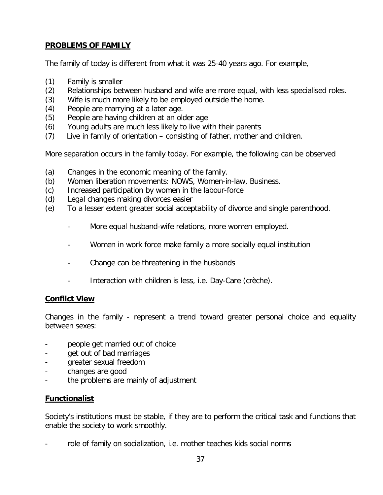## **PROBLEMS OF FAMILY**

The family of today is different from what it was 25-40 years ago. For example,

- (1) Family is smaller
- (2) Relationships between husband and wife are more equal, with less specialised roles.
- (3) Wife is much more likely to be employed outside the home.
- (4) People are marrying at a later age.
- (5) People are having children at an older age
- (6) Young adults are much less likely to live with their parents
- (7) Live in family of orientation consisting of father, mother and children.

More separation occurs in the family today. For example, the following can be observed

- (a) Changes in the economic meaning of the family.
- (b) Women liberation movements: NOWS, Women-in-law, Business.
- (c) Increased participation by women in the labour-force
- (d) Legal changes making divorces easier
- (e) To a lesser extent greater social acceptability of divorce and single parenthood.
	- More equal husband-wife relations, more women employed.
	- Women in work force make family a more socially equal institution
	- Change can be threatening in the husbands
	- Interaction with children is less, i.e. Day-Care (crèche).

## **Conflict View**

Changes in the family - represent a trend toward greater personal choice and equality between sexes:

- people get married out of choice
- get out of bad marriages
- greater sexual freedom
- changes are good
- the problems are mainly of adjustment

## **Functionalist**

Society's institutions must be stable, if they are to perform the critical task and functions that enable the society to work smoothly.

role of family on socialization, i.e. mother teaches kids social norms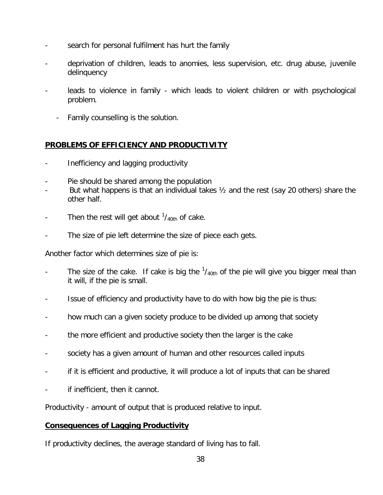- search for personal fulfilment has hurt the family
- deprivation of children, leads to anomies, less supervision, etc. drug abuse, juvenile delinquency
- leads to violence in family which leads to violent children or with psychological problem.
	- Family counselling is the solution.

## **PROBLEMS OF EFFICIENCY AND PRODUCTIVITY**

- Inefficiency and lagging productivity
- Pie should be shared among the population
- But what happens is that an individual takes  $\frac{1}{2}$  and the rest (say 20 others) share the other half.
- Then the rest will get about  $\frac{1}{40}$  of cake.
- The size of pie left determine the size of piece each gets.

Another factor which determines size of pie is:

- The size of the cake. If cake is big the  $1/40th}$  of the pie will give you bigger meal than it will, if the pie is small.
- Issue of efficiency and productivity have to do with how big the pie is thus:
- how much can a given society produce to be divided up among that society
- the more efficient and productive society then the larger is the cake
- society has a given amount of human and other resources called inputs
- if it is efficient and productive, it will produce a lot of inputs that can be shared
- if inefficient, then it cannot.

Productivity - amount of output that is produced relative to input.

## **Consequences of Lagging Productivity**

If productivity declines, the average standard of living has to fall.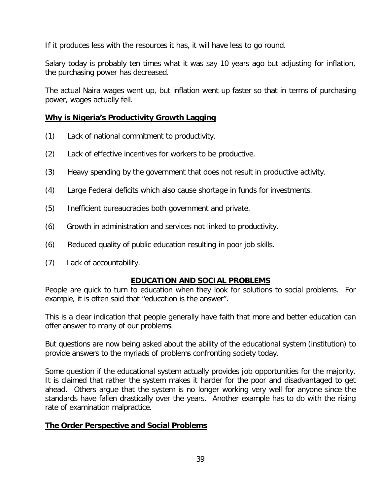If it produces less with the resources it has, it will have less to go round.

Salary today is probably ten times what it was say 10 years ago but adjusting for inflation, the purchasing power has decreased.

The actual Naira wages went up, but inflation went up faster so that in terms of purchasing power, wages actually fell.

## **Why is Nigeria's Productivity Growth Lagging**

- (1) Lack of national commitment to productivity.
- (2) Lack of effective incentives for workers to be productive.
- (3) Heavy spending by the government that does not result in productive activity.
- (4) Large Federal deficits which also cause shortage in funds for investments.
- (5) Inefficient bureaucracies both government and private.
- (6) Growth in administration and services not linked to productivity.
- (6) Reduced quality of public education resulting in poor job skills.
- (7) Lack of accountability.

## **EDUCATION AND SOCIAL PROBLEMS**

People are quick to turn to education when they look for solutions to social problems. For example, it is often said that "education is the answer".

This is a clear indication that people generally have faith that more and better education can offer answer to many of our problems.

But questions are now being asked about the ability of the educational system (institution) to provide answers to the myriads of problems confronting society today.

Some question if the educational system actually provides job opportunities for the majority. It is claimed that rather the system makes it harder for the poor and disadvantaged to get ahead. Others argue that the system is no longer working very well for anyone since the standards have fallen drastically over the years. Another example has to do with the rising rate of examination malpractice.

## **The Order Perspective and Social Problems**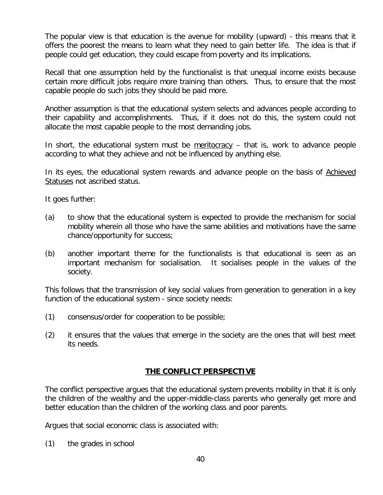The popular view is that education is the avenue for mobility (upward) - this means that it offers the poorest the means to learn what they need to gain better life. The idea is that if people could get education, they could escape from poverty and its implications.

Recall that one assumption held by the functionalist is that unequal income exists because certain more difficult jobs require more training than others. Thus, to ensure that the most capable people do such jobs they should be paid more.

Another assumption is that the educational system selects and advances people according to their capability and accomplishments. Thus, if it does not do this, the system could not allocate the most capable people to the most demanding jobs.

In short, the educational system must be meritocracy – that is, work to advance people according to what they achieve and not be influenced by anything else.

In its eyes, the educational system rewards and advance people on the basis of Achieved Statuses not ascribed status.

It goes further:

- (a) to show that the educational system is expected to provide the mechanism for social mobility wherein all those who have the same abilities and motivations have the same chance/opportunity for success;
- (b) another important theme for the functionalists is that educational is seen as an important mechanism for socialisation. It socialises people in the values of the society.

This follows that the transmission of key social values from generation to generation in a key function of the educational system - since society needs:

- (1) consensus/order for cooperation to be possible;
- (2) it ensures that the values that emerge in the society are the ones that will best meet its needs.

## **THE CONFLICT PERSPECTIVE**

The conflict perspective argues that the educational system prevents mobility in that it is only the children of the wealthy and the upper-middle-class parents who generally get more and better education than the children of the working class and poor parents.

Argues that social economic class is associated with:

(1) the grades in school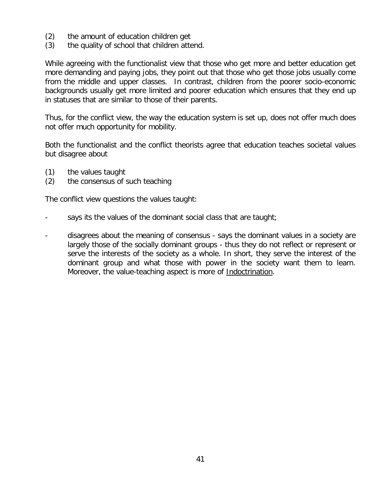- (2) the amount of education children get
- (3) the quality of school that children attend.

While agreeing with the functionalist view that those who get more and better education get more demanding and paying jobs, they point out that those who get those jobs usually come from the middle and upper classes. In contrast, children from the poorer socio-economic backgrounds usually get more limited and poorer education which ensures that they end up in statuses that are similar to those of their parents.

Thus, for the conflict view, the way the education system is set up, does not offer much does not offer much opportunity for mobility.

Both the functionalist and the conflict theorists agree that education teaches societal values but disagree about

- (1) the values taught
- (2) the consensus of such teaching

The conflict view questions the values taught:

- says its the values of the dominant social class that are taught;
- disagrees about the meaning of consensus says the dominant values in a society are largely those of the socially dominant groups - thus they do not reflect or represent or serve the interests of the society as a whole. In short, they serve the interest of the dominant group and what those with power in the society want them to learn. Moreover, the value-teaching aspect is more of Indoctrination.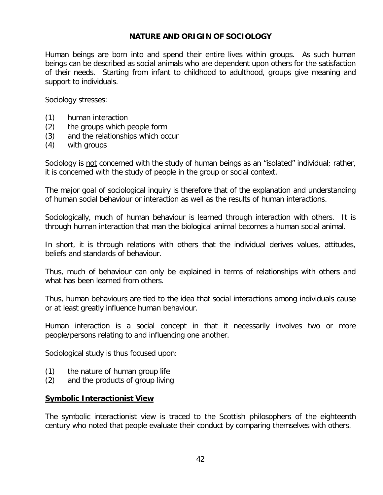## **NATURE AND ORIGIN OF SOCIOLOGY**

Human beings are born into and spend their entire lives within groups. As such human beings can be described as social animals who are dependent upon others for the satisfaction of their needs. Starting from infant to childhood to adulthood, groups give meaning and support to individuals.

Sociology stresses:

- (1) human interaction
- (2) the groups which people form
- (3) and the relationships which occur
- (4) with groups

Sociology is not concerned with the study of human beings as an "isolated" individual; rather, it is concerned with the study of people in the group or social context.

The major goal of sociological inquiry is therefore that of the explanation and understanding of human social behaviour or interaction as well as the results of human interactions.

Sociologically, much of human behaviour is learned through interaction with others. It is through human interaction that man the biological animal becomes a human social animal.

In short, it is through relations with others that the individual derives values, attitudes, beliefs and standards of behaviour.

Thus, much of behaviour can only be explained in terms of relationships with others and what has been learned from others.

Thus, human behaviours are tied to the idea that social interactions among individuals cause or at least greatly influence human behaviour.

Human interaction is a social concept in that it necessarily involves two or more people/persons relating to and influencing one another.

Sociological study is thus focused upon:

- (1) the nature of human group life
- (2) and the products of group living

#### **Symbolic Interactionist View**

The symbolic interactionist view is traced to the Scottish philosophers of the eighteenth century who noted that people evaluate their conduct by comparing themselves with others.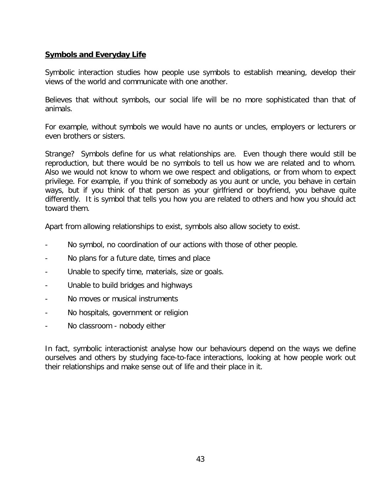## **Symbols and Everyday Life**

Symbolic interaction studies how people use symbols to establish meaning, develop their views of the world and communicate with one another.

Believes that without symbols, our social life will be no more sophisticated than that of animals.

For example, without symbols we would have no aunts or uncles, employers or lecturers or even brothers or sisters.

Strange? Symbols define for us what relationships are. Even though there would still be reproduction, but there would be no symbols to tell us how we are related and to whom. Also we would not know to whom we owe respect and obligations, or from whom to expect privilege. For example, if you think of somebody as you aunt or uncle, you behave in certain ways, but if you think of that person as your girlfriend or boyfriend, you behave quite differently. It is symbol that tells you how you are related to others and how you should act toward them.

Apart from allowing relationships to exist, symbols also allow society to exist.

- No symbol, no coordination of our actions with those of other people.
- No plans for a future date, times and place
- Unable to specify time, materials, size or goals.
- Unable to build bridges and highways
- No moves or musical instruments
- No hospitals, government or religion
- No classroom nobody either

In fact, symbolic interactionist analyse how our behaviours depend on the ways we define ourselves and others by studying face-to-face interactions, looking at how people work out their relationships and make sense out of life and their place in it.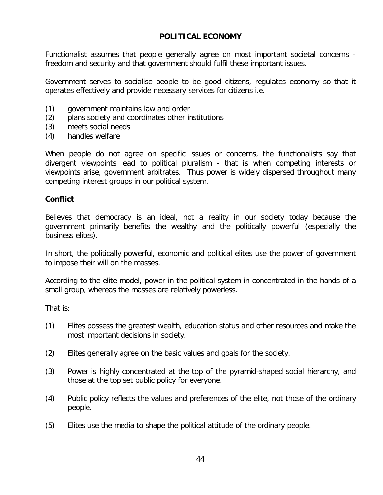## **POLITICAL ECONOMY**

Functionalist assumes that people generally agree on most important societal concerns freedom and security and that government should fulfil these important issues.

Government serves to socialise people to be good citizens, regulates economy so that it operates effectively and provide necessary services for citizens i.e.

- (1) government maintains law and order
- (2) plans society and coordinates other institutions
- (3) meets social needs
- (4) handles welfare

When people do not agree on specific issues or concerns, the functionalists say that divergent viewpoints lead to political pluralism - that is when competing interests or viewpoints arise, government arbitrates. Thus power is widely dispersed throughout many competing interest groups in our political system.

#### **Conflict**

Believes that democracy is an ideal, not a reality in our society today because the government primarily benefits the wealthy and the politically powerful (especially the business elites).

In short, the politically powerful, economic and political elites use the power of government to impose their will on the masses.

According to the elite model, power in the political system in concentrated in the hands of a small group, whereas the masses are relatively powerless.

That is:

- (1) Elites possess the greatest wealth, education status and other resources and make the most important decisions in society.
- (2) Elites generally agree on the basic values and goals for the society.
- (3) Power is highly concentrated at the top of the pyramid-shaped social hierarchy, and those at the top set public policy for everyone.
- (4) Public policy reflects the values and preferences of the elite, not those of the ordinary people.
- (5) Elites use the media to shape the political attitude of the ordinary people.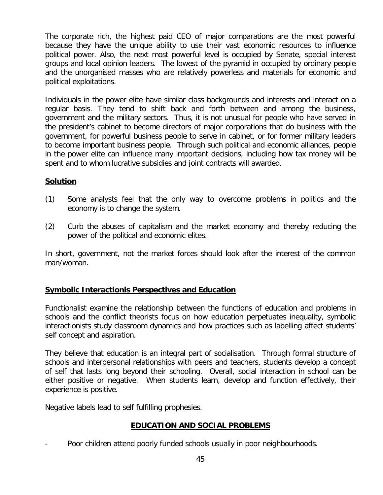The corporate rich, the highest paid CEO of major comparations are the most powerful because they have the unique ability to use their vast economic resources to influence political power. Also, the next most powerful level is occupied by Senate, special interest groups and local opinion leaders. The lowest of the pyramid in occupied by ordinary people and the unorganised masses who are relatively powerless and materials for economic and political exploitations.

Individuals in the power elite have similar class backgrounds and interests and interact on a regular basis. They tend to shift back and forth between and among the business, government and the military sectors. Thus, it is not unusual for people who have served in the president's cabinet to become directors of major corporations that do business with the government, for powerful business people to serve in cabinet, or for former military leaders to become important business people. Through such political and economic alliances, people in the power elite can influence many important decisions, including how tax money will be spent and to whom lucrative subsidies and joint contracts will awarded.

## **Solution**

- (1) Some analysts feel that the only way to overcome problems in politics and the economy is to change the system.
- (2) Curb the abuses of capitalism and the market economy and thereby reducing the power of the political and economic elites.

In short, government, not the market forces should look after the interest of the common man/woman.

## **Symbolic Interactionis Perspectives and Education**

Functionalist examine the relationship between the functions of education and problems in schools and the conflict theorists focus on how education perpetuates inequality, symbolic interactionists study classroom dynamics and how practices such as labelling affect students' self concept and aspiration.

They believe that education is an integral part of socialisation. Through formal structure of schools and interpersonal relationships with peers and teachers, students develop a concept of self that lasts long beyond their schooling. Overall, social interaction in school can be either positive or negative. When students learn, develop and function effectively, their experience is positive.

Negative labels lead to self fulfilling prophesies.

## **EDUCATION AND SOCIAL PROBLEMS**

Poor children attend poorly funded schools usually in poor neighbourhoods.